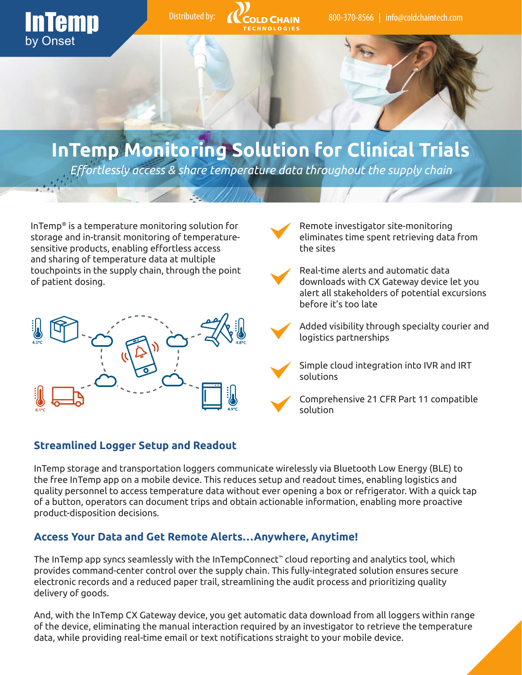

of patient dosing.



downloads with CX Gateway device let you alert all stakeholders of potential excursions before it's too late

> Added visibility through specialty courier and logistics partnerships

Simple cloud integration into IVR and IRT solutions

Comprehensive 21 CFR Part 11 compatible solution

### **Streamlined Logger Setup and Readout**

InTemp storage and transportation loggers communicate wirelessly via Bluetooth Low Energy (BLE) to the free InTemp app on a mobile device. This reduces setup and readout times, enabling logistics and quality personnel to access temperature data without ever opening a box or refrigerator. With a quick tap of a button, operators can document trips and obtain actionable information, enabling more proactive product-disposition decisions.

### **Access Your Data and Get Remote Alerts…Anywhere, Anytime!**

The InTemp app syncs seamlessly with the InTempConnect™ cloud reporting and analytics tool, which provides command-center control over the supply chain. This fully-integrated solution ensures secure electronic records and a reduced paper trail, streamlining the audit process and prioritizing quality delivery of goods.

And, with the InTemp CX Gateway device, you get automatic data download from all loggers within range of the device, eliminating the manual interaction required by an investigator to retrieve the temperature data, while providing real-time email or text notifications straight to your mobile device.